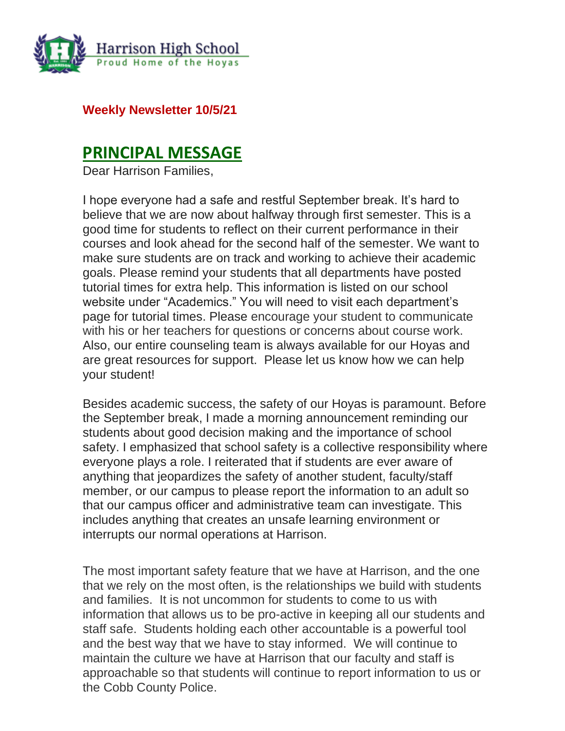

**Weekly Newsletter 10/5/21**

### **PRINCIPAL MESSAGE**

Dear Harrison Families,

I hope everyone had a safe and restful September break. It's hard to believe that we are now about halfway through first semester. This is a good time for students to reflect on their current performance in their courses and look ahead for the second half of the semester. We want to make sure students are on track and working to achieve their academic goals. Please remind your students that all departments have posted tutorial times for extra help. This information is listed on our school website under "Academics." You will need to visit each department's page for tutorial times. Please encourage your student to communicate with his or her teachers for questions or concerns about course work. Also, our entire counseling team is always available for our Hoyas and are great resources for support. Please let us know how we can help your student!

Besides academic success, the safety of our Hoyas is paramount. Before the September break, I made a morning announcement reminding our students about good decision making and the importance of school safety. I emphasized that school safety is a collective responsibility where everyone plays a role. I reiterated that if students are ever aware of anything that jeopardizes the safety of another student, faculty/staff member, or our campus to please report the information to an adult so that our campus officer and administrative team can investigate. This includes anything that creates an unsafe learning environment or interrupts our normal operations at Harrison.

The most important safety feature that we have at Harrison, and the one that we rely on the most often, is the relationships we build with students and families. It is not uncommon for students to come to us with information that allows us to be pro-active in keeping all our students and staff safe. Students holding each other accountable is a powerful tool and the best way that we have to stay informed. We will continue to maintain the culture we have at Harrison that our faculty and staff is approachable so that students will continue to report information to us or the Cobb County Police.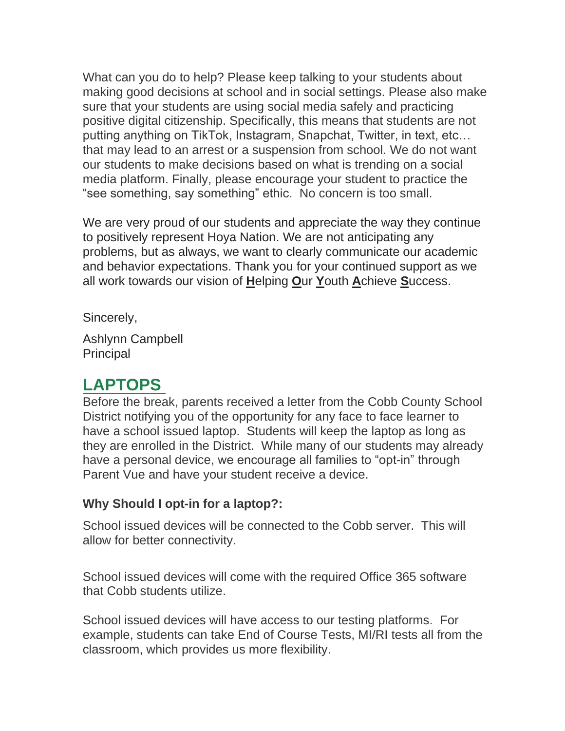What can you do to help? Please keep talking to your students about making good decisions at school and in social settings. Please also make sure that your students are using social media safely and practicing positive digital citizenship. Specifically, this means that students are not putting anything on TikTok, Instagram, Snapchat, Twitter, in text, etc… that may lead to an arrest or a suspension from school. We do not want our students to make decisions based on what is trending on a social media platform. Finally, please encourage your student to practice the "see something, say something" ethic. No concern is too small.

We are very proud of our students and appreciate the way they continue to positively represent Hoya Nation. We are not anticipating any problems, but as always, we want to clearly communicate our academic and behavior expectations. Thank you for your continued support as we all work towards our vision of **H**elping **O**ur **Y**outh **A**chieve **S**uccess.

Sincerely,

Ashlynn Campbell **Principal** 

### **LAPTOPS**

Before the break, parents received a letter from the Cobb County School District notifying you of the opportunity for any face to face learner to have a school issued laptop. Students will keep the laptop as long as they are enrolled in the District. While many of our students may already have a personal device, we encourage all families to "opt-in" through Parent Vue and have your student receive a device.

#### **Why Should I opt-in for a laptop?:**

School issued devices will be connected to the Cobb server. This will allow for better connectivity.

School issued devices will come with the required Office 365 software that Cobb students utilize.

School issued devices will have access to our testing platforms. For example, students can take End of Course Tests, MI/RI tests all from the classroom, which provides us more flexibility.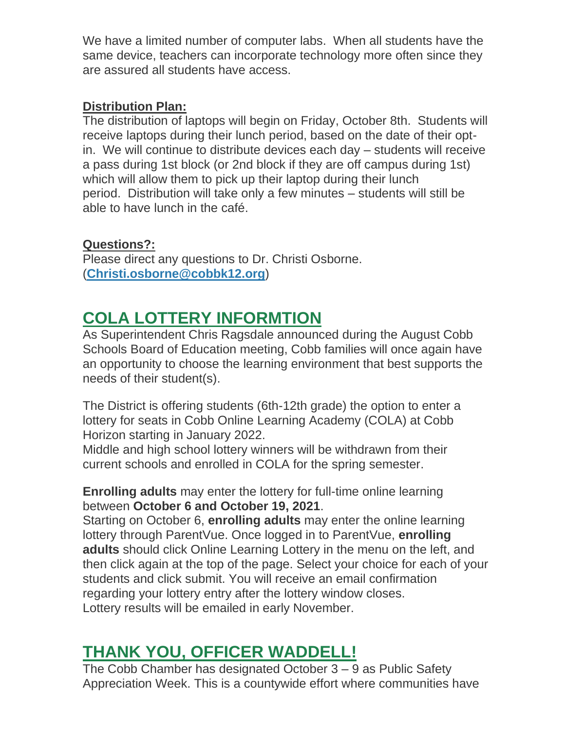We have a limited number of computer labs. When all students have the same device, teachers can incorporate technology more often since they are assured all students have access.

#### **Distribution Plan:**

The distribution of laptops will begin on Friday, October 8th. Students will receive laptops during their lunch period, based on the date of their optin. We will continue to distribute devices each day – students will receive a pass during 1st block (or 2nd block if they are off campus during 1st) which will allow them to pick up their laptop during their lunch period. Distribution will take only a few minutes – students will still be able to have lunch in the café.

#### **Questions?:**

Please direct any questions to Dr. Christi Osborne. (**[Christi.osborne@cobbk12.org](mailto:Christi.osborne@cobbk12.org)**)

### **COLA LOTTERY INFORMTION**

As Superintendent Chris Ragsdale announced during the August Cobb Schools Board of Education meeting, Cobb families will once again have an opportunity to choose the learning environment that best supports the needs of their student(s).

The District is offering students (6th-12th grade) the option to enter a lottery for seats in Cobb Online Learning Academy (COLA) at Cobb Horizon starting in January 2022.

Middle and high school lottery winners will be withdrawn from their current schools and enrolled in COLA for the spring semester.

#### **Enrolling adults** may enter the lottery for full-time online learning between **October 6 and October 19, 2021**.

Starting on October 6, **enrolling adults** may enter the online learning lottery through ParentVue. Once logged in to ParentVue, **enrolling adults** should click Online Learning Lottery in the menu on the left, and then click again at the top of the page. Select your choice for each of your students and click submit. You will receive an email confirmation regarding your lottery entry after the lottery window closes. Lottery results will be emailed in early November.

### **THANK YOU, OFFICER WADDELL!**

The Cobb Chamber has designated October  $3 - 9$  as Public Safety Appreciation Week. This is a countywide effort where communities have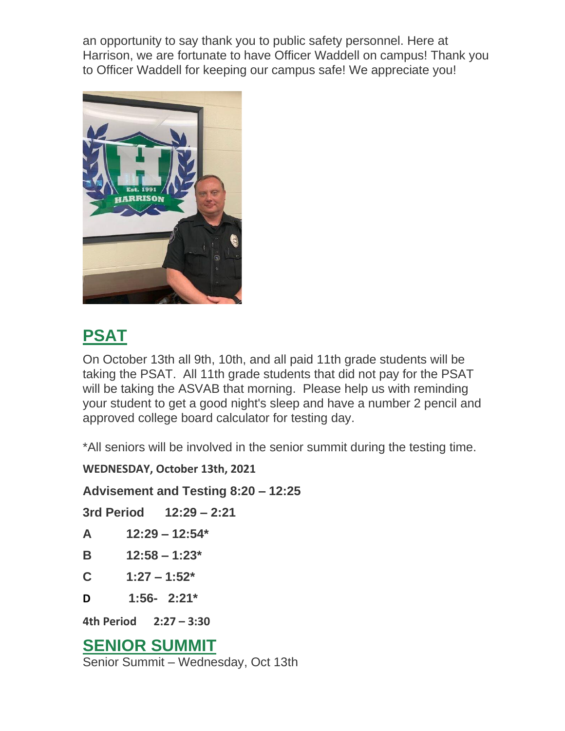an opportunity to say thank you to public safety personnel. Here at Harrison, we are fortunate to have Officer Waddell on campus! Thank you to Officer Waddell for keeping our campus safe! We appreciate you!



## **PSAT**

On October 13th all 9th, 10th, and all paid 11th grade students will be taking the PSAT. All 11th grade students that did not pay for the PSAT will be taking the ASVAB that morning. Please help us with reminding your student to get a good night's sleep and have a number 2 pencil and approved college board calculator for testing day.

\*All seniors will be involved in the senior summit during the testing time.

**WEDNESDAY, October 13th, 2021**

**Advisement and Testing 8:20 – 12:25** 

|                        |  | 3rd Period 12:29 - 2:21 |  |
|------------------------|--|-------------------------|--|
| A                      |  | $12:29 - 12:54*$        |  |
| B                      |  | $12:58 - 1:23*$         |  |
| C                      |  | $1:27 - 1:52^*$         |  |
| D                      |  | $1:56 - 2:21*$          |  |
| 4th Period 2:27 - 3:30 |  |                         |  |
| <b>-</b>               |  |                         |  |

### **SENIOR SUMMIT**

Senior Summit – Wednesday, Oct 13th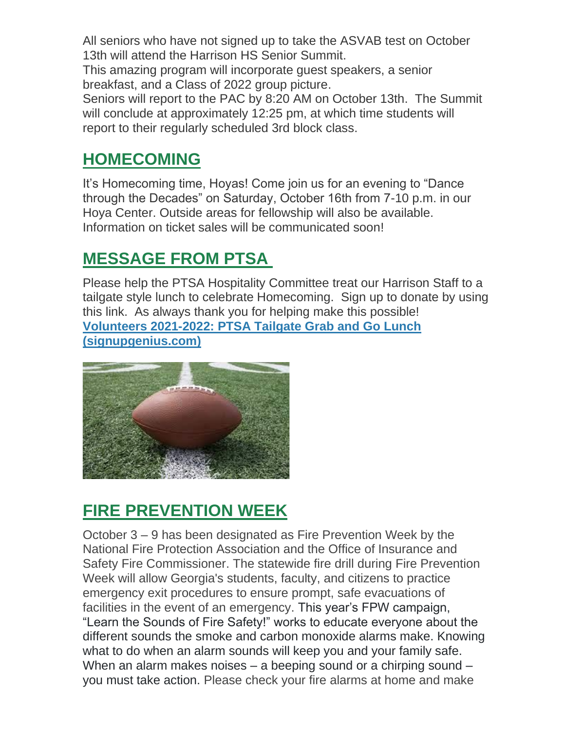All seniors who have not signed up to take the ASVAB test on October 13th will attend the Harrison HS Senior Summit.

This amazing program will incorporate guest speakers, a senior breakfast, and a Class of 2022 group picture.

Seniors will report to the PAC by 8:20 AM on October 13th. The Summit will conclude at approximately 12:25 pm, at which time students will report to their regularly scheduled 3rd block class.

### **HOMECOMING**

It's Homecoming time, Hoyas! Come join us for an evening to "Dance through the Decades" on Saturday, October 16th from 7-10 p.m. in our Hoya Center. Outside areas for fellowship will also be available. Information on ticket sales will be communicated soon!

### **MESSAGE FROM PTSA**

Please help the PTSA Hospitality Committee treat our Harrison Staff to a tailgate style lunch to celebrate Homecoming. Sign up to donate by using this link. As always thank you for helping make this possible! **[Volunteers 2021-2022: PTSA Tailgate Grab and Go Lunch](http://url503.cobbk12.org/ls/click?upn=Q-2BKaVIKfS2AqG1NntRWXIqe3VLrAF6HtQZXW1Eop37-2BHD1-2FJeBI8RcsNCzxppcBz0DlAzN5HVHa4jFBsYhEq-2FTtx4F3uDw8i0Et4Ko14jOyvmI1H-2BAf5gG-2FKDqhzv-2BKLCWwno-2FakN55PshkPrF06wmdsZhVRdToKKBocgED2GaYv36LqHSyrv979oOUCYyqhq4Rpjp7GIIUbdiJVJMr2l1wCvK0WWnrqo0IOJRgNdskY2fGaQafLmLFCyuxAp0kQKFMYRppbFG27bbMxTzdByHzxaRbqnJXiJy8HzXty4ARdPGNTsw3nkr5MRlf4vwRHGUjzISsTrguUvN2FlvdfCTKjp9tz7P-2FyoCswugh2m72Yp04UNsSTdyNU53lu-2FF6qtl6u0pHXx9e1GYU-2BB0BnbR95StAsEtUeKnxcm3TlF-2BKxOXic7ZOoTS8aItVILV2C1uI5AneAChM2Ua-2F8bdP0eU4Ej7kXycaJ1jcqKU7G77-2FgR6AcnD10fIWlC0sBNXhJRVRm8yOoQtQJuMkeL4uHhI6WdaxCs8dZzDGSlee9ySbKqUH3m-2FkijjjI86XDGpfECSjMUdWoKSXvifiggkg-2BJg-3D-3DX2Jt_W-2BfLYUoUwwI1tuGClKRhhPOSepcZIFoXnUIMjiA717kQ1i13BNQTwwJ9cl-2BWArXrjMDzmdYDAz26vF1M-2BNMQlgVtsZ7Z2Envq6N47pOd88F7NAti4aZ2XDRKTJA7ZhjhQhbSbAh2ZfFC4ADqY-2F1cZLeG1hu5o1PZBsE9oJ-2BilGEMIe3uNC6Nh99l28WLaW-2FmTtpMcN1tyfxV2oWMz3eM7i1VDDgl75n-2FdZ79CSPEUfCx22jDlrV629zat2aUtGwsakN5Mv8zUPlIat5YAvYlEQ-3D-3D)  [\(signupgenius.com\)](http://url503.cobbk12.org/ls/click?upn=Q-2BKaVIKfS2AqG1NntRWXIqe3VLrAF6HtQZXW1Eop37-2BHD1-2FJeBI8RcsNCzxppcBz0DlAzN5HVHa4jFBsYhEq-2FTtx4F3uDw8i0Et4Ko14jOyvmI1H-2BAf5gG-2FKDqhzv-2BKLCWwno-2FakN55PshkPrF06wmdsZhVRdToKKBocgED2GaYv36LqHSyrv979oOUCYyqhq4Rpjp7GIIUbdiJVJMr2l1wCvK0WWnrqo0IOJRgNdskY2fGaQafLmLFCyuxAp0kQKFMYRppbFG27bbMxTzdByHzxaRbqnJXiJy8HzXty4ARdPGNTsw3nkr5MRlf4vwRHGUjzISsTrguUvN2FlvdfCTKjp9tz7P-2FyoCswugh2m72Yp04UNsSTdyNU53lu-2FF6qtl6u0pHXx9e1GYU-2BB0BnbR95StAsEtUeKnxcm3TlF-2BKxOXic7ZOoTS8aItVILV2C1uI5AneAChM2Ua-2F8bdP0eU4Ej7kXycaJ1jcqKU7G77-2FgR6AcnD10fIWlC0sBNXhJRVRm8yOoQtQJuMkeL4uHhI6WdaxCs8dZzDGSlee9ySbKqUH3m-2FkijjjI86XDGpfECSjMUdWoKSXvifiggkg-2BJg-3D-3DX2Jt_W-2BfLYUoUwwI1tuGClKRhhPOSepcZIFoXnUIMjiA717kQ1i13BNQTwwJ9cl-2BWArXrjMDzmdYDAz26vF1M-2BNMQlgVtsZ7Z2Envq6N47pOd88F7NAti4aZ2XDRKTJA7ZhjhQhbSbAh2ZfFC4ADqY-2F1cZLeG1hu5o1PZBsE9oJ-2BilGEMIe3uNC6Nh99l28WLaW-2FmTtpMcN1tyfxV2oWMz3eM7i1VDDgl75n-2FdZ79CSPEUfCx22jDlrV629zat2aUtGwsakN5Mv8zUPlIat5YAvYlEQ-3D-3D)**



### **FIRE PREVENTION WEEK**

October 3 – 9 has been designated as Fire Prevention Week by the National Fire Protection Association and the Office of Insurance and Safety Fire Commissioner. The statewide fire drill during Fire Prevention Week will allow Georgia's students, faculty, and citizens to practice emergency exit procedures to ensure prompt, safe evacuations of facilities in the event of an emergency. This year's FPW campaign, "Learn the Sounds of Fire Safety!" works to educate everyone about the different sounds the smoke and carbon monoxide alarms make. Knowing what to do when an alarm sounds will keep you and your family safe. When an alarm makes noises – a beeping sound or a chirping sound – you must take action. Please check your fire alarms at home and make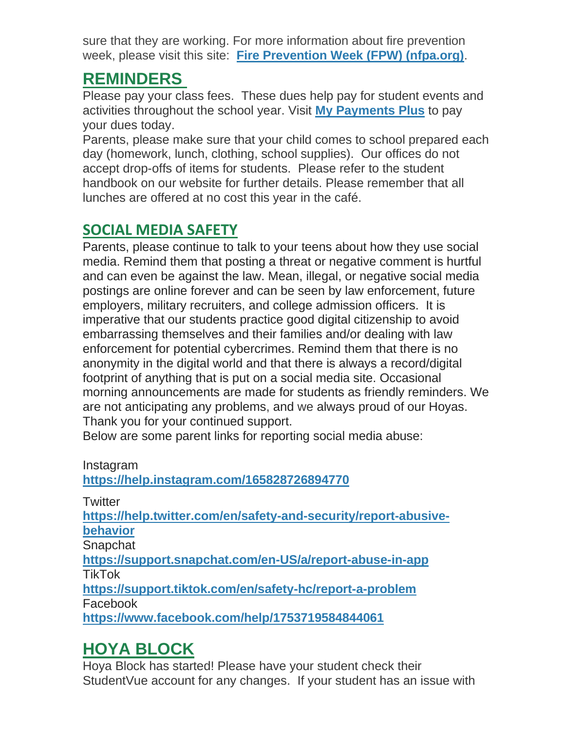sure that they are working. For more information about fire prevention week, please visit this site: **[Fire Prevention Week \(FPW\) \(nfpa.org\)](http://url503.cobbk12.org/ls/click?upn=oq5wnnHoD1NAxpT8rNAGXFqZrgE-2FAuZ02W-2BtsBH4SXzePjD6xGDaWpeRxejs4SPy8LJf0Ub9dxjo3WahLeLshRUAvMIBq0DbHA7t7NDwXKg-3DB4K__W-2BfLYUoUwwI1tuGClKRhhPOSepcZIFoXnUIMjiA717kQ1i13BNQTwwJ9cl-2BWArXrjMDzmdYDAz26vF1M-2BNMQlgVtsZ7Z2Envq6N47pOd88F7NAti4aZ2XDRKTJA7ZhjhQhwJU9IeNtIiE90iKWqy3d6kleQnIq4Gsf62-2BBMQoF7Q0wAq1UciK8KglL6cHBWPf4Oe7KcrPQbWDOg0973by-2FHBoBblSgseoEBsPBrYIYipxSzfZ5V4oFPg5LA4-2F0FMTiO04BVhSWq2Z9BO8Roq-2Bg-3D-3D)**.

### **REMINDERS**

Please pay your class fees. These dues help pay for student events and activities throughout the school year. Visit **[My Payments Plus](http://url503.cobbk12.org/ls/click?upn=oq5wnnHoD1NAxpT8rNAGXBxh8XnDVEDw5bvdQ2ADwSG1Bh0D2uOXMojjZ7F-2BABXkJefs_W-2BfLYUoUwwI1tuGClKRhhPOSepcZIFoXnUIMjiA717kQ1i13BNQTwwJ9cl-2BWArXrjMDzmdYDAz26vF1M-2BNMQlgVtsZ7Z2Envq6N47pOd88F7NAti4aZ2XDRKTJA7ZhjhKdNZit9dEd3kno40F81VbD72caNVcp6W-2BzY22jxSsMvLs4qsrtmwfoZ3kyj5mJG6ENRtAebVRKF2bFuwLhrVvNTwd6fX4-2B21rTCxBAy4HqLAe00S5WOkox-2BBw4h-2BXhs1JB06cY-2FqMMN8J6vosfhNeQ-3D-3D)** to pay your dues today.

Parents, please make sure that your child comes to school prepared each day (homework, lunch, clothing, school supplies). Our offices do not accept drop-offs of items for students. Please refer to the student handbook on our website for further details. Please remember that all lunches are offered at no cost this year in the café.

### **SOCIAL MEDIA SAFETY**

Parents, please continue to talk to your teens about how they use social media. Remind them that posting a threat or negative comment is hurtful and can even be against the law. Mean, illegal, or negative social media postings are online forever and can be seen by law enforcement, future employers, military recruiters, and college admission officers. It is imperative that our students practice good digital citizenship to avoid embarrassing themselves and their families and/or dealing with law enforcement for potential cybercrimes. Remind them that there is no anonymity in the digital world and that there is always a record/digital footprint of anything that is put on a social media site. Occasional morning announcements are made for students as friendly reminders. We are not anticipating any problems, and we always proud of our Hoyas. Thank you for your continued support.

Below are some parent links for reporting social media abuse:

| Instagram |
|-----------|
|           |

**[https://help.instagram.com/165828726894770](http://url503.cobbk12.org/ls/click?upn=k2a9oSGmmBVDQ-2BEzH5jEzcI5QFNwqlulDRw0JLYHpg2BxWEk7pe3MTErs3ecXc1wrv8i71U-2BVbF-2FhChsPWOaxw-3D-3D_zHW_W-2BfLYUoUwwI1tuGClKRhhPOSepcZIFoXnUIMjiA717kQ1i13BNQTwwJ9cl-2BWArXrjMDzmdYDAz26vF1M-2BNMQlgVtsZ7Z2Envq6N47pOd88F7NAti4aZ2XDRKTJA7ZhjhfHWUif6aXp-2F-2FhPHDGjrVHSRCYeV5yiR2i6SvIvvgc4wtc7P0Dj1ChctlQrFvRTG4Kn-2FffNeOFIR3jLydnfuB4i-2FaoCuiNcWRlVmYtL9AZjD1gE8ILQW0o-2F-2BR7VmNsHotrtMuuKpEG4tfkuNem8V3Qg-3D-3D)**

**Twitter** 

**[https://help.twitter.com/en/safety-and-security/report-abusive](http://url503.cobbk12.org/ls/click?upn=k2a9oSGmmBVDQ-2BEzH5jEzR-2BDhITICOS7RMQN4FouZJKovjJSEPqMCjMtupcvsJcGASHD0go9sim1mLSaqDW-2FfKLFqe78lN3R8DLe-2BY0E-2BnQ-3DBhpx_W-2BfLYUoUwwI1tuGClKRhhPOSepcZIFoXnUIMjiA717kQ1i13BNQTwwJ9cl-2BWArXrjMDzmdYDAz26vF1M-2BNMQlgVtsZ7Z2Envq6N47pOd88F7NAti4aZ2XDRKTJA7ZhjhZVtrlnZqlYykRLg-2FFJICO6-2BT76l52-2Fw7wggsC9MBdCH-2FpLs-2BdB-2BVbs5-2BKgTN82Xoj-2FX0-2Bz5Aj698igogYq3UePLYh5lM8S7cfESfPu0mj1YUX8anu6vsytG9WmWpJk1YCMMhj-2B0aFuz0JtRamzRrwg-3D-3D)[behavior](http://url503.cobbk12.org/ls/click?upn=k2a9oSGmmBVDQ-2BEzH5jEzR-2BDhITICOS7RMQN4FouZJKovjJSEPqMCjMtupcvsJcGASHD0go9sim1mLSaqDW-2FfKLFqe78lN3R8DLe-2BY0E-2BnQ-3DBhpx_W-2BfLYUoUwwI1tuGClKRhhPOSepcZIFoXnUIMjiA717kQ1i13BNQTwwJ9cl-2BWArXrjMDzmdYDAz26vF1M-2BNMQlgVtsZ7Z2Envq6N47pOd88F7NAti4aZ2XDRKTJA7ZhjhZVtrlnZqlYykRLg-2FFJICO6-2BT76l52-2Fw7wggsC9MBdCH-2FpLs-2BdB-2BVbs5-2BKgTN82Xoj-2FX0-2Bz5Aj698igogYq3UePLYh5lM8S7cfESfPu0mj1YUX8anu6vsytG9WmWpJk1YCMMhj-2B0aFuz0JtRamzRrwg-3D-3D)**

**Snapchat** 

**[https://support.snapchat.com/en-US/a/report-abuse-in-app](http://url503.cobbk12.org/ls/click?upn=lifxRKNE4qaF4JWLXkbAsl2c6ajj-2FliP2he2mhXGRu6E-2Bf0FxVgpc-2FTJGfl5E15vjg4gQXS852Pr0XfsZ9uSgA-3D-3DUwcG_W-2BfLYUoUwwI1tuGClKRhhPOSepcZIFoXnUIMjiA717kQ1i13BNQTwwJ9cl-2BWArXrjMDzmdYDAz26vF1M-2BNMQlgVtsZ7Z2Envq6N47pOd88F7NAti4aZ2XDRKTJA7ZhjhyRp7y7z8Ca6E0dNApjsNIsirhHppKeLsc-2BDROb1YhKd0Hun2kkL-2Bj8UEakygjiViF5ixH9rEPoR46R-2Fk3fF3Png6s0Xn6XQ9ZGlLl8-2FjCQDuRZxh-2F2KH7bE0aqSgS4F78pJcLvXpz7rvbzWl7aKQwg-3D-3D)** TikTok

**[https://support.tiktok.com/en/safety-hc/report-a-problem](http://url503.cobbk12.org/ls/click?upn=lifxRKNE4qaF4JWLXkbAsodzc3mOHT2rqycJw3vOcoIqYYG-2Bp072HTZvgXZ4I5V6BABE5dYMwdl-2FtiCOXEsBlA-3D-3D5g0z_W-2BfLYUoUwwI1tuGClKRhhPOSepcZIFoXnUIMjiA717kQ1i13BNQTwwJ9cl-2BWArXrjMDzmdYDAz26vF1M-2BNMQlgVtsZ7Z2Envq6N47pOd88F7NAti4aZ2XDRKTJA7ZhjhHOpehGacR1zMcU8q8cCEkzryp28KWbQDq7vyZYo-2B-2FnP-2F8qwyc-2FORywg0lx61UTbxKaL-2FMOnnZrMVTQH7McWTT5iJbwb-2Fzulp0q3VnONQi-2BNztpaksrBBgol1qAUVr5JS-2Fmh0j7-2FYRE3xCgYqKgc-2BpA-3D-3D)** Facebook

**[https://www.facebook.com/help/1753719584844061](http://url503.cobbk12.org/ls/click?upn=oq5wnnHoD1NAxpT8rNAGXKbxe0Ggy2RgqToOMTISfcS1TzscQgkJ4DBJrNpIrEfISU31IJgwW3pczfXTopJrDw-3D-3DELIu_W-2BfLYUoUwwI1tuGClKRhhPOSepcZIFoXnUIMjiA717kQ1i13BNQTwwJ9cl-2BWArXrjMDzmdYDAz26vF1M-2BNMQlgVtsZ7Z2Envq6N47pOd88F7NAti4aZ2XDRKTJA7ZhjhZav-2BKG-2BxzObZwWAgFwQwPHsoq35A7ozUcIOIGKiSPuBHGT6Vsy0nKIzX-2F7xenakqXSZufONWP5bX2N7z532pnQ7m2HYyEjRSta-2BsAqyY-2FN0lY4jK1-2FCj7NAO0yzU4M26i9f-2Bpd-2F57UyD2C2Ha8CrnA-3D-3D)**

### **HOYA BLOCK**

Hoya Block has started! Please have your student check their StudentVue account for any changes. If your student has an issue with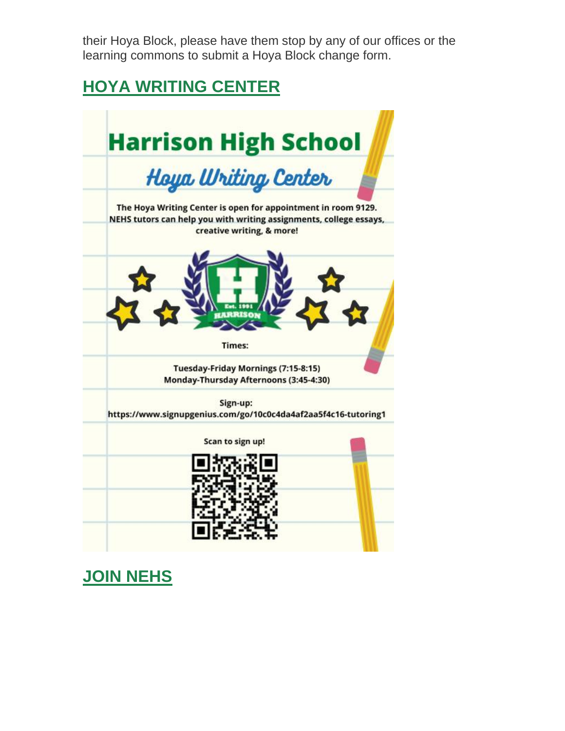their Hoya Block, please have them stop by any of our offices or the learning commons to submit a Hoya Block change form.

### **HOYA WRITING CENTER**



**JOIN NEHS**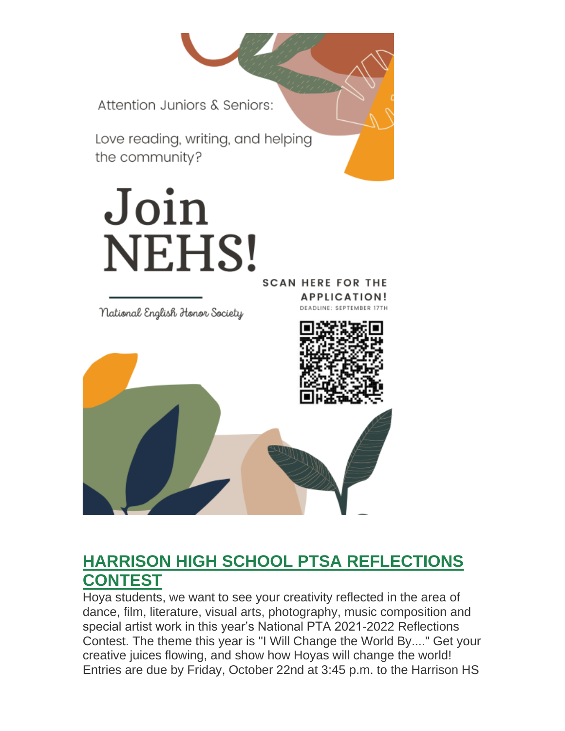Attention Juniors & Seniors:

Love reading, writing, and helping the community?

# Join NEHS! **SCAN HERE FOR THE**

National English Honor Society

**APPLICATION! DEADLINE: SEPTEMBER 17TH** 



### **HARRISON HIGH SCHOOL PTSA REFLECTIONS CONTEST**

Hoya students, we want to see your creativity reflected in the area of dance, film, literature, visual arts, photography, music composition and special artist work in this year's National PTA 2021-2022 Reflections Contest. The theme this year is "I Will Change the World By...." Get your creative juices flowing, and show how Hoyas will change the world! Entries are due by Friday, October 22nd at 3:45 p.m. to the Harrison HS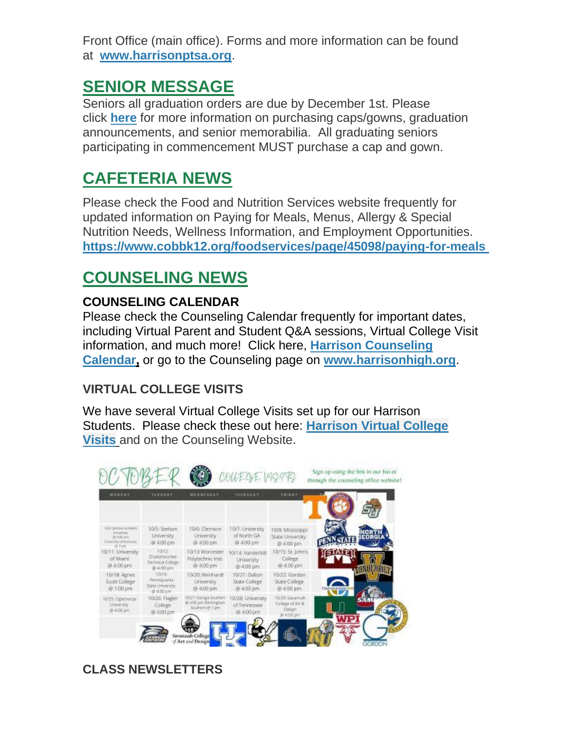Front Office (main office). Forms and more information can be found at **[www.harrisonptsa.org](http://url503.cobbk12.org/ls/click?upn=w1gdoDmrpuqo5Pl2RhLapG3HIkHhbc3NdLnDvpvb0NPI4f8Urq5AGxIQiR5WFEj1ZIVU_W-2BfLYUoUwwI1tuGClKRhhPOSepcZIFoXnUIMjiA717kQ1i13BNQTwwJ9cl-2BWArXrjMDzmdYDAz26vF1M-2BNMQlgVtsZ7Z2Envq6N47pOd88F7NAti4aZ2XDRKTJA7ZhjhrJqBXqxDUUDEL3DE3HtmqDejCQn8XP7oJfok9txHAHnbvRxxz0jV2MdvRLSZBSWbsp0LfGMqDP8A6JdPZ-2BnTxWLGLdiHH3OJLT-2Ft-2BG8W-2BrTPkAJ61pJO40i-2BJbvNkCNIk1V9yDrvRgTcoylj6WplCA-3D-3D)**.

### **SENIOR MESSAGE**

Seniors all graduation orders are due by December 1st. Please click **[here](http://url503.cobbk12.org/ls/click?upn=U4hCIp-2BhfB8EhA-2BKcjUp5AtOtpNXdN8uxH-2Fy67Vg4-2FK6u-2FJ0pQfT4XhP3AbOB42pNFxt_W-2BfLYUoUwwI1tuGClKRhhPOSepcZIFoXnUIMjiA717kQ1i13BNQTwwJ9cl-2BWArXrjMDzmdYDAz26vF1M-2BNMQlgVtsZ7Z2Envq6N47pOd88F7NAti4aZ2XDRKTJA7ZhjhTIkDU88vrMW876UNYp-2BxPvlPeNvxM7yNtZ7sEOnpJqOxBX1sZzvSdmu-2BrqV4sCYez2EFiJ4N2TTgC-2Feeiym6T5Ufx1S6uZ-2BWyFYWnDQrDPox9M8M3gics-2Bl0NXT0XlVs3V3cj-2F-2BDNTFGD4gYAnZjMQ-3D-3D)** for more information on purchasing caps/gowns, graduation announcements, and senior memorabilia. All graduating seniors participating in commencement MUST purchase a cap and gown.

### **CAFETERIA NEWS**

Please check the Food and Nutrition Services website frequently for updated information on Paying for Meals, Menus, Allergy & Special Nutrition Needs, Wellness Information, and Employment Opportunities. **[https://www.cobbk12.org/foodservices/page/45098/paying-for-meals](http://url503.cobbk12.org/ls/click?upn=oq5wnnHoD1NAxpT8rNAGXIgEcF6cFUXUYIe-2B8AO3LVyx4t4OJsNWVhu0iEI2j90fBOcAAqhr4f3pHktzPZuYg83p0mcu7zlRbWoKDhAG9jg-3D_6is_W-2BfLYUoUwwI1tuGClKRhhPOSepcZIFoXnUIMjiA717kQ1i13BNQTwwJ9cl-2BWArXrjMDzmdYDAz26vF1M-2BNMQlgVtsZ7Z2Envq6N47pOd88F7NAti4aZ2XDRKTJA7Zhjh4OY46UAt2CquqlCHVRlggun1rF4v0zKFDavg-2B82JfO8ATcRAEdUahJkSNO62WatP4zc-2B0hKk5MIkOrS9fCZyldLlyVfWlJJKjihLufhgF2wXYiClf7I4AchnTDJwXlDSg15jvTIfAJFDkEG3vVJNJg-3D-3D)**

### **COUNSELING NEWS**

### **COUNSELING CALENDAR**

Please check the Counseling Calendar frequently for important dates, including Virtual Parent and Student Q&A sessions, Virtual College Visit information, and much more! Click here, **[Harrison Counseling](http://url503.cobbk12.org/ls/click?upn=G8An3K6JlHsR8QtKBFuzdoB1znjZkDc3Km2Sgf1PHVpycz16KMZXgXgxh3dcC-2FS8NJmdhIjRhMEVOdXvIran0PoO612nc8dPRxDRKmrySvOyPaCPkwQVxnm5P9WY4kGuByjjBLs9jX8AnVcQz2F0xdPJWUq-2BTqmbYJsClRyFwEgRo9BS-2BibqsB2DQhPPMblVUPLc_W-2BfLYUoUwwI1tuGClKRhhPOSepcZIFoXnUIMjiA717kQ1i13BNQTwwJ9cl-2BWArXrjMDzmdYDAz26vF1M-2BNMQlgVtsZ7Z2Envq6N47pOd88F7NAti4aZ2XDRKTJA7Zhjh2b7q8PneVepjLPBBFosXiKZSikXFU64cuDbG-2BPIAc3VqRJuqyr-2BX6UkXWLr7Fh1dUycB9qc4uOBTBCpj8bYMACN0-2BBLE6mulkpr6KWc0Q6LJiTQn7kFC7puKR-2B9hSA8E-2FLHrAIXKpz7kof1XyeDetQ-3D-3D)  [Calendar,](http://url503.cobbk12.org/ls/click?upn=G8An3K6JlHsR8QtKBFuzdoB1znjZkDc3Km2Sgf1PHVpycz16KMZXgXgxh3dcC-2FS8NJmdhIjRhMEVOdXvIran0PoO612nc8dPRxDRKmrySvOyPaCPkwQVxnm5P9WY4kGuByjjBLs9jX8AnVcQz2F0xdPJWUq-2BTqmbYJsClRyFwEgRo9BS-2BibqsB2DQhPPMblVUPLc_W-2BfLYUoUwwI1tuGClKRhhPOSepcZIFoXnUIMjiA717kQ1i13BNQTwwJ9cl-2BWArXrjMDzmdYDAz26vF1M-2BNMQlgVtsZ7Z2Envq6N47pOd88F7NAti4aZ2XDRKTJA7Zhjh2b7q8PneVepjLPBBFosXiKZSikXFU64cuDbG-2BPIAc3VqRJuqyr-2BX6UkXWLr7Fh1dUycB9qc4uOBTBCpj8bYMACN0-2BBLE6mulkpr6KWc0Q6LJiTQn7kFC7puKR-2B9hSA8E-2FLHrAIXKpz7kof1XyeDetQ-3D-3D)** or go to the Counseling page on **[www.harrisonhigh.org](http://url503.cobbk12.org/ls/click?upn=oq5wnnHoD1NAxpT8rNAGXO9pgQjsMrFEdSeXOUfDN1SmFc2KsGzpApGt0h4W-2BnTi3qOMFT0pAhpU4g9jzi2oghIA-2BD5qxCmArcny4yPncCY-3DGGUr_W-2BfLYUoUwwI1tuGClKRhhPOSepcZIFoXnUIMjiA717kQ1i13BNQTwwJ9cl-2BWArXrjMDzmdYDAz26vF1M-2BNMQlgVtsZ7Z2Envq6N47pOd88F7NAti4aZ2XDRKTJA7ZhjhZGGLPz9uzLBvsNZD18UTX1m2UI-2B7YBvjzFnJO7JPVuCfUAsLd-2BHzeqop2fk52i6OxinG2HZZZtHlQ-2FrfpFQkJpTL8NuXGBMxdPr3cQowrzOHDMMxE8DE9YjolP-2FThrLnFMb5A740S2yLlCc6-2FK6jWQ-3D-3D)**.

### **VIRTUAL COLLEGE VISITS**

We have several Virtual College Visits set up for our Harrison Students. Please check these out here: **[Harrison Virtual College](http://url503.cobbk12.org/ls/click?upn=G8An3K6JlHsR8QtKBFuzdogXPJqD3Uz2QqY8s2OfxygfiXPa-2BLVg3oKWlcUFgjTffPxwSarE77p-2FOfJTl3QvbpgPiFEQheAZA772IpRJMifiqQmDkS-2BKBGjOIoKGjM7QQDhTGARgZvMYUugThyMfc1u3H422O6jO2zhAvrxBFglXp3F6gpegHyc5A3y-2BtXoarMbtV-2FDS2nSwRHJx513wzw-3D-3DVIQb_W-2BfLYUoUwwI1tuGClKRhhPOSepcZIFoXnUIMjiA717kQ1i13BNQTwwJ9cl-2BWArXrjMDzmdYDAz26vF1M-2BNMQlgVtsZ7Z2Envq6N47pOd88F7NAti4aZ2XDRKTJA7ZhjhojfNHFjfJ6LJbRbDSt7noJnAZ7YMEuu-2BxeM5zNk4F5ySHh2uMdDWewhbcucWPbwvBQTINz40Ob5UOgt5-2B47hr10ZHYIPLhkuzLSzIZjoBYGZevlJYxziQON-2BithEMv9DV6y5YhmewuX8LDwzZw2-2Fcw-3D-3D)  [Visits](http://url503.cobbk12.org/ls/click?upn=G8An3K6JlHsR8QtKBFuzdogXPJqD3Uz2QqY8s2OfxygfiXPa-2BLVg3oKWlcUFgjTffPxwSarE77p-2FOfJTl3QvbpgPiFEQheAZA772IpRJMifiqQmDkS-2BKBGjOIoKGjM7QQDhTGARgZvMYUugThyMfc1u3H422O6jO2zhAvrxBFglXp3F6gpegHyc5A3y-2BtXoarMbtV-2FDS2nSwRHJx513wzw-3D-3DVIQb_W-2BfLYUoUwwI1tuGClKRhhPOSepcZIFoXnUIMjiA717kQ1i13BNQTwwJ9cl-2BWArXrjMDzmdYDAz26vF1M-2BNMQlgVtsZ7Z2Envq6N47pOd88F7NAti4aZ2XDRKTJA7ZhjhojfNHFjfJ6LJbRbDSt7noJnAZ7YMEuu-2BxeM5zNk4F5ySHh2uMdDWewhbcucWPbwvBQTINz40Ob5UOgt5-2B47hr10ZHYIPLhkuzLSzIZjoBYGZevlJYxziQON-2BithEMv9DV6y5YhmewuX8LDwzZw2-2Fcw-3D-3D)** and on the Counseling Website.



**CLASS NEWSLETTERS**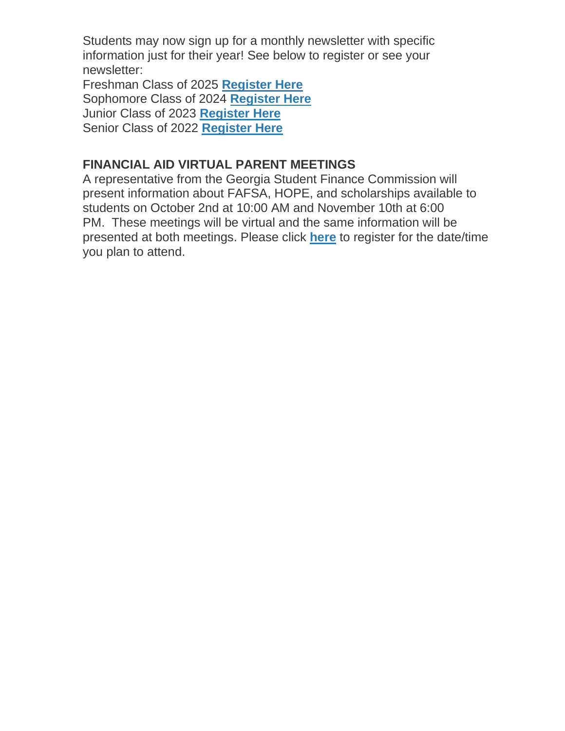Students may now sign up for a monthly newsletter with specific information just for their year! See below to register or see your newsletter:

Freshman Class of 2025 **[Register Here](http://url503.cobbk12.org/ls/click?upn=Lr5Kj85exJaDj793QUoDMxoBFqYG9jsvxI4LoJlDFzMhUCpXbnVhhqIbIvVR7eDkW2lzE7udnvgKuQAcOzbNvqwOcyAOegilze8a86prJ3frgbJArpe-2Bu9kCda-2FHphK4YS3syaEi6KXoq5ecEB9E0ne7Np47MCHzPx514UIHtE2z1DtWvQSMAPs1SLFsz3LtiT1E_W-2BfLYUoUwwI1tuGClKRhhPOSepcZIFoXnUIMjiA717kQ1i13BNQTwwJ9cl-2BWArXrjMDzmdYDAz26vF1M-2BNMQlgVtsZ7Z2Envq6N47pOd88F7NAti4aZ2XDRKTJA7ZhjhcyF9qrUmOyBFW0rRFUdvfVnBQPnzAWX9KZw8EwXIx4BEdsWi6Be-2BsNSXYK8rs8PTmH8lA-2F4cvqZgtN0FK7BnAK2lyQXv53N3mr5pv4PwiPX9hn9l0VLrAVLmj-2Fb19dG28V-2BEdrPc1ecMXz3GfQ1C3Q-3D-3D)** Sophomore Class of 2024 **[Register Here](http://url503.cobbk12.org/ls/click?upn=HU5K2q0Fz5ADTGboxPzOzV-2FXL0qE7BYVJk79MoYchrbCOX-2B3LonP5U2oZNoxy5AcBtluJIt2ARn38rp2KDKyAeBNN-2Fb5h181ewg5fbNU54WvCEZR610RnNa6PzQcmk9ZkcF2_W-2BfLYUoUwwI1tuGClKRhhPOSepcZIFoXnUIMjiA717kQ1i13BNQTwwJ9cl-2BWArXrjMDzmdYDAz26vF1M-2BNMQlgVtsZ7Z2Envq6N47pOd88F7NAti4aZ2XDRKTJA7ZhjhnzmxezKt6aJvmqsWs83Bm2kgdulEmBybILddANM-2FaD85qxbxMvPVTSCNec5PNCgWLruRSpsMeyGJyzmRUKWkA57T77OLqYzNXDOQqMDqnWPgSXuosKWNQV57KUW9YhhFwBtIr3WqLUuaRDvRq6r-2F7Q-3D-3D)** Junior Class of 2023 **[Register Here](http://url503.cobbk12.org/ls/click?upn=HU5K2q0Fz5ADTGboxPzOzc-2FmDrLeRPv-2F5f6cytuJSxI0trpBiz9UDAwo-2Bcb69f-2BotMmx4AwlG5hn6eMqzvsNDsYVvUofQRcF3tP7lqOzjVNqfGZzo2pBbv9178J2dZt2supnlVwvxbV-2B2CZdWNWDsw-3D-3DNep-_W-2BfLYUoUwwI1tuGClKRhhPOSepcZIFoXnUIMjiA717kQ1i13BNQTwwJ9cl-2BWArXrjMDzmdYDAz26vF1M-2BNMQlgVtsZ7Z2Envq6N47pOd88F7NAti4aZ2XDRKTJA7ZhjhNSnLLumMvs8AtpT14vsGasRT51kQR0xHudJnInDOxbWAGu-2FtE1DWK1-2BekiF5T1-2BdwFf5aYRCVkjYT8E8hIUpyZp1y6GomB6ay9-2BepsvuYFdXH7Urevn-2BMxwhgpR8GJvaNWvGpwQVk2hUAI1FawU3iA-3D-3D)** Senior Class of 2022 **[Register Here](http://url503.cobbk12.org/ls/click?upn=Lr5Kj85exJaDj793QUoDMxoBFqYG9jsvxI4LoJlDFzMhUCpXbnVhhqIbIvVR7eDkW2lzE7udnvgKuQAcOzbNvqwOcyAOegilze8a86prJ3dDt6tBPLENBJTdrQCUrueLZgINQSeok4wIPB8t7DObpshp395kKSQ2QJBawc2T6bK-2FQpKcY6cz3X5556wmPmprp-hy_W-2BfLYUoUwwI1tuGClKRhhPOSepcZIFoXnUIMjiA717kQ1i13BNQTwwJ9cl-2BWArXrjMDzmdYDAz26vF1M-2BNMQlgVtsZ7Z2Envq6N47pOd88F7NAti4aZ2XDRKTJA7ZhjhVdqsoPeZpbDBGSxuUJruVCnbeqSxCybAcZkdRd-2FGv8g-2BP7sb-2FizcVV7MbNLOpky7zpZwa1ckcH-2Fz1cShFzkYdMHArPE8UOoLawAlHIxozY7j9Yl9YiCHkxYj6mRZFjDfrR2PETMRxiZajZbn9SDgfg-3D-3D)**

#### **FINANCIAL AID VIRTUAL PARENT MEETINGS**

A representative from the Georgia Student Finance Commission will present information about FAFSA, HOPE, and scholarships available to students on October 2nd at 10:00 AM and November 10th at 6:00 PM. These meetings will be virtual and the same information will be presented at both meetings. Please click **[here](http://url503.cobbk12.org/ls/click?upn=Lr5Kj85exJaDj793QUoDMxoBFqYG9jsvxI4LoJlDFzMhUCpXbnVhhqIbIvVR7eDkW2lzE7udnvgKuQAcOzbNvqwOcyAOegilze8a86prJ3frgbJArpe-2Bu9kCda-2FHphK4v6kZZidL8klfRE4WpiHBiOUmfjGGl1Cc6ifSLY5GZCKhb-2FDlnl9xhyqQR9BjJDEY-n7A_W-2BfLYUoUwwI1tuGClKRhhPOSepcZIFoXnUIMjiA717kQ1i13BNQTwwJ9cl-2BWArXrjMDzmdYDAz26vF1M-2BNMQlgVtsZ7Z2Envq6N47pOd88F7NAti4aZ2XDRKTJA7ZhjhSL-2BkIasNKBqxRnB-2BxPBv3lnDzPtNraBBKZI5onqqGCegU2Ig-2B9Z8sYkNsyyvJEoE2IvoMA-2BTih-2Bt6FBwigae2q-2FUhXmZyv0VDuAfQOoN8NwlZIO4J9cpX-2FwI4D1iCuueN5o7-2FQ5kaFLUIQ3gUNGBBQ-3D-3D)** to register for the date/time you plan to attend.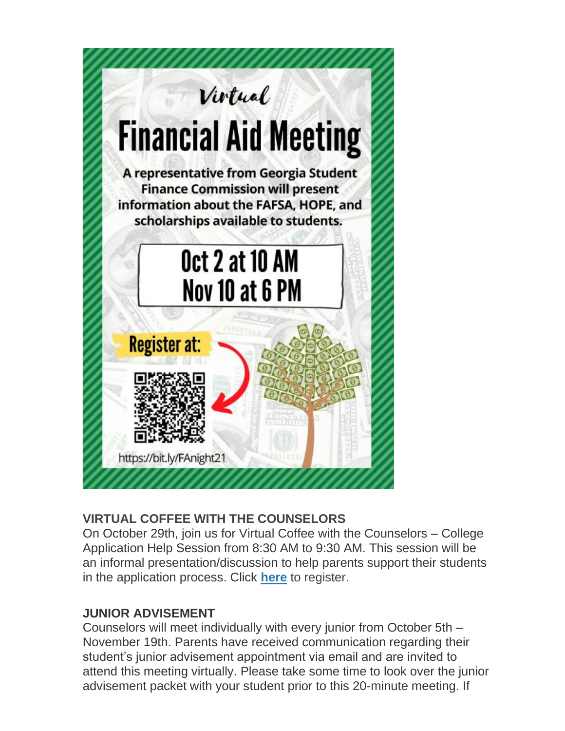

#### **VIRTUAL COFFEE WITH THE COUNSELORS**

On October 29th, join us for Virtual Coffee with the Counselors – College Application Help Session from 8:30 AM to 9:30 AM. This session will be an informal presentation/discussion to help parents support their students in the application process. Click **[here](http://url503.cobbk12.org/ls/click?upn=Lr5Kj85exJaDj793QUoDMxoBFqYG9jsvxI4LoJlDFzMhUCpXbnVhhqIbIvVR7eDkW2lzE7udnvgKuQAcOzbNvqwOcyAOegilze8a86prJ3frgbJArpe-2Bu9kCda-2FHphK4j76ToDEqnwDDouVSfBI-2FgI-2FJaFhQ9ruOp-2FZlFRFagMdPaqAwQ3b4TVyB96R4q-2B-2BFbGwX_W-2BfLYUoUwwI1tuGClKRhhPOSepcZIFoXnUIMjiA717kQ1i13BNQTwwJ9cl-2BWArXrjMDzmdYDAz26vF1M-2BNMQlgVtsZ7Z2Envq6N47pOd88F7NAti4aZ2XDRKTJA7ZhjhbwvWrWlp5KALtx4STWytz8CG2q4WkgzLnPbqPO5M7DF-2BwOBRnWjRHE-2FBk5aOW3HkBq6uRbRNstrfMdI2WrTqdYSoU1Q1o4TXBCrospPt2tU-2BNy7Fp98KbHcI-2F53EYuK0dkpaGU2sNZZIkKYsIF6lBg-3D-3D)** to register.

#### **JUNIOR ADVISEMENT**

Counselors will meet individually with every junior from October 5th – November 19th. Parents have received communication regarding their student's junior advisement appointment via email and are invited to attend this meeting virtually. Please take some time to look over the junior advisement packet with your student prior to this 20-minute meeting. If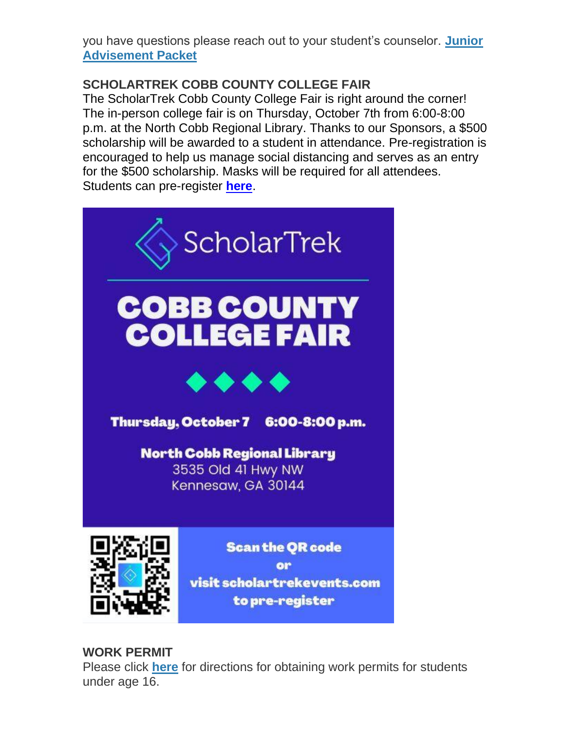you have questions please reach out to your student's counselor. **[Junior](http://url503.cobbk12.org/ls/click?upn=HU5K2q0Fz5ADTGboxPzOzV-2FXL0qE7BYVJk79MoYchrZ6cVu3mMKqZdQmi0UsDM13CpH-2Fy1sbrKgs3Ilxs3wypmu09ylCHd8l6mGlGHoBz7I-3D-OSf_W-2BfLYUoUwwI1tuGClKRhhPOSepcZIFoXnUIMjiA717kQ1i13BNQTwwJ9cl-2BWArXrjMDzmdYDAz26vF1M-2BNMQlgVtsZ7Z2Envq6N47pOd88F7NAti4aZ2XDRKTJA7ZhjhwoRNKuSq1QxIotA5WJ4Vfot6hUcrIB9vHpzPGAR3rXqHSMwEPizi-2F-2BF2qdJFx5A86EcL3R7ZdqMQ27V5-2B8yQBpjJVpney-2FrTLbx9weI3JT-2B93ur3EtSSEzXQZjc2P50dhzUT7bmIiKlI8xjwQR7c-2Bw-3D-3D)  [Advisement Packet](http://url503.cobbk12.org/ls/click?upn=HU5K2q0Fz5ADTGboxPzOzV-2FXL0qE7BYVJk79MoYchrZ6cVu3mMKqZdQmi0UsDM13CpH-2Fy1sbrKgs3Ilxs3wypmu09ylCHd8l6mGlGHoBz7I-3D-OSf_W-2BfLYUoUwwI1tuGClKRhhPOSepcZIFoXnUIMjiA717kQ1i13BNQTwwJ9cl-2BWArXrjMDzmdYDAz26vF1M-2BNMQlgVtsZ7Z2Envq6N47pOd88F7NAti4aZ2XDRKTJA7ZhjhwoRNKuSq1QxIotA5WJ4Vfot6hUcrIB9vHpzPGAR3rXqHSMwEPizi-2F-2BF2qdJFx5A86EcL3R7ZdqMQ27V5-2B8yQBpjJVpney-2FrTLbx9weI3JT-2B93ur3EtSSEzXQZjc2P50dhzUT7bmIiKlI8xjwQR7c-2Bw-3D-3D)**

#### **SCHOLARTREK COBB COUNTY COLLEGE FAIR**

The ScholarTrek Cobb County College Fair is right around the corner! The in-person college fair is on Thursday, October 7th from 6:00-8:00 p.m. at the North Cobb Regional Library. Thanks to our Sponsors, a \$500 scholarship will be awarded to a student in attendance. Pre-registration is encouraged to help us manage social distancing and serves as an entry for the \$500 scholarship. Masks will be required for all attendees. Students can pre-register **[here](http://url503.cobbk12.org/ls/click?upn=kYpeu9rJVSU1acS4VG0V9dP8zXnygu7Up5qBE7usQ1hl-2BbXZEOGQ6X82aA4mqq3GK-2FnIKHrEzI-2BVNGueysojXD3k58x9lZtsKfsfl4i2vUW0Fqn0FPuTQAE4gEeLPNs0aCzekhwVh3nxjzXNQyFygtRcpYxCKX911-2BltLFiW8-2B-2BmcK3wf0GmpmLssFbNAOFdIMtuPjRYXlCaTnHIOtGzgyMDD9rcEQI0lYIS6kEExumRQxeS70VbFzxgkNV88ogjHjGvt6aVySsQXoNfSCllsXAmCgI8I-2FWuYmkKx8lK3PZ5rs4GASZ50yLe6M9b651xgPKgfBFLEowXbM5xvFjwnQ9vCZ0GDloM5t27STDtv8WevrRkNi4OOa7KhEjiq2Z-2FcEvzaAtQtDJlkhmFln9INOyEoxBQKdCiXVHV6EA-2B8vYA09p-2FNYTglRBNso554hXVOXoWk2G8ZaMUUYavXUe72nxXysqMFnOiFz9QA8-2FjLRKgea9YnonycynifUn-2BXTAXMe-2FeFAY-2BhLyNVscQp9MRAacRjh9iIXthXV8wsH7AKEa7Q0V5gs-2FbdpjVc3fJc8oA-2F0OgJ8KkcZn2IiP0-2FlAW2DDMea14jD3AxBzJWVyi7y7AY5BNqS8AErXE61e-2BJgo6r2MKcvfXdS5dlykxRJad-2B4L-2Bp07i4FHs9c1IBI9Y1UNEIIqeNrQJooJdmiGUxAM4A9EDOmOB6l9Da-2BsHy-2BFYDYdAouxrn-2FDwPytl1g88B-2FyghWQXMQjZoFmwO-2B4uuYW17tKc1DdfHQCJp-2BnMwCXCJkRgHjpo1O05SQQOAq4AcRmAKHIZnmajTnjQuGvKztgdy8LUzfFBXynqPtYyy1yaYa0-2BlB4XBt3-2Btv4PNoa1XisFbupaayBXU1f4E-2FRx-2Fn3GxrJiK3YTJL-2BUDfCfc5fUWRfdsIf15Ff-2BZNwlhtnqiNSprZn-2BLrebA7-2BtLBS8vJJchKd41PeJbJ6YK9ACzkvITrKrjhjimeAznynM0ljj1qh-2FSN3YE9OQFwm8mh-2BIRzCd2al6oFUjQuaTt0h8QZKbVOMcCnLpTCa5oFMKa6Z8Bo5iTAJOsGU8Ttv-2FGcblytYW1lZV2KvD-2FT3kImD53fwtDxANQXraPMVolVkYtyNrwD0mIaEOWgG4aRILOTTDyRmT7Aalx6C5rEA1xB4-2BXDycjpGrB5WBXJF1xWlJdPI0DeR8v1vkYKhT9po3bEi-2BTduNR2Y7ro3cS-2FdSlziWd33JVg-3D-3D71QK_W-2BfLYUoUwwI1tuGClKRhhPOSepcZIFoXnUIMjiA717kQ1i13BNQTwwJ9cl-2BWArXrjMDzmdYDAz26vF1M-2BNMQlgVtsZ7Z2Envq6N47pOd88F7NAti4aZ2XDRKTJA7ZhjhZy5jZiXRnAOoehJFeTLfBhXlR-2BpLxNIVwKMY3IUJJuogTUYT-2FE6mKYEQnbnfGsT4UOdivEIiwxGGyaQnmeAKJcJEgArnItGm3czyyqLpsnltrnsGRz3NWr95NUfzSAYN33q1g9qrsjTvqTm1cqraaA-3D-3D)**.



to pre-register

#### **WORK PERMIT**

Please click **[here](http://url503.cobbk12.org/ls/click?upn=HU5K2q0Fz5ADTGboxPzOzV-2FXL0qE7BYVJk79MoYchragV5467tisWoPAB9agzSUHDsbqBYccGjiUhV-2FDTHAbpapsLFisWAfYtS-2FB87HhzALBJIiH1yo6DrPdn5r31JRc-32i_W-2BfLYUoUwwI1tuGClKRhhPOSepcZIFoXnUIMjiA717kQ1i13BNQTwwJ9cl-2BWArXrjMDzmdYDAz26vF1M-2BNMQlgVtsZ7Z2Envq6N47pOd88F7NAti4aZ2XDRKTJA7ZhjhTJxYDUi2-2Fh44-2BoG1Ku5v1Ja7wV-2FABkdzO96odfkeoxTLx-2FtBNB1aNv3t5j8eJJDUtg9YZXLnUctQbDKtMhsjDfMGXicLFrVoBGlLuIBUqABlyBgLhZTzNq0cEJVz-2FGn23urkbpnqdq3bo-2BD63X-2BI7A-3D-3D)** for directions for obtaining work permits for students under age 16.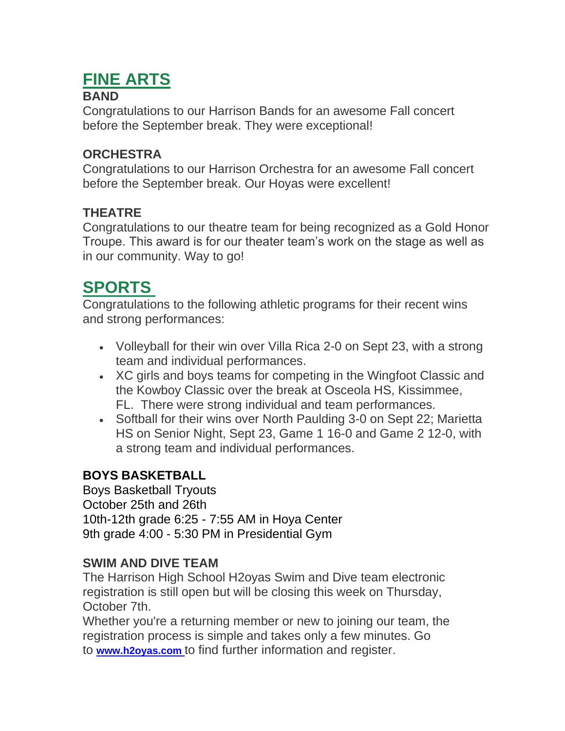# **FINE ARTS**

#### **BAND**

Congratulations to our Harrison Bands for an awesome Fall concert before the September break. They were exceptional!

#### **ORCHESTRA**

Congratulations to our Harrison Orchestra for an awesome Fall concert before the September break. Our Hoyas were excellent!

#### **THEATRE**

Congratulations to our theatre team for being recognized as a Gold Honor Troupe. This award is for our theater team's work on the stage as well as in our community. Way to go!

### **SPORTS**

Congratulations to the following athletic programs for their recent wins and strong performances:

- Volleyball for their win over Villa Rica 2-0 on Sept 23, with a strong team and individual performances.
- XC girls and boys teams for competing in the Wingfoot Classic and the Kowboy Classic over the break at Osceola HS, Kissimmee, FL. There were strong individual and team performances.
- Softball for their wins over North Paulding 3-0 on Sept 22; Marietta HS on Senior Night, Sept 23, Game 1 16-0 and Game 2 12-0, with a strong team and individual performances.

### **BOYS BASKETBALL**

Boys Basketball Tryouts October 25th and 26th 10th-12th grade 6:25 - 7:55 AM in Hoya Center 9th grade 4:00 - 5:30 PM in Presidential Gym

#### **SWIM AND DIVE TEAM**

The Harrison High School H2oyas Swim and Dive team electronic registration is still open but will be closing this week on Thursday, October 7th.

Whether you're a returning member or new to joining our team, the registration process is simple and takes only a few minutes. Go to **[www.h2oyas.com](http://url503.cobbk12.org/ls/click?upn=oq5wnnHoD1NAxpT8rNAGXJ4UIUlo-2BX7N8NItM7NJuCg-2B09jX7BnUIPuk8ZI9yTX7rNLs-2FpDwuHY11cMZmWHwRA-3D-3D7HmQ_W-2BfLYUoUwwI1tuGClKRhhPOSepcZIFoXnUIMjiA717kQ1i13BNQTwwJ9cl-2BWArXrjMDzmdYDAz26vF1M-2BNMQlgVtsZ7Z2Envq6N47pOd88F7NAti4aZ2XDRKTJA7ZhjhEayRUwadbHvdDUfyQEsfAlQ-2BxH8ZS3z7k9XCVmtvYaRb43QiBsLxq5E4qoIzDwda-2B7MqznLSPGn3RJWHD-2FxGAujvfZiXdssTstVYILZ4ICnMlaMKA1jPesyD-2BCa5pd-2FpREgVX-2FGPigkbGifpXL-2BP-2Fg-3D-3D)** [t](http://url503.cobbk12.org/ls/click?upn=w1gdoDmrpuqo5Pl2RhLapJ-2Bmt-2Fw5NAg9xTdPfajy-2FbA-3DrqJU_W-2BfLYUoUwwI1tuGClKRhhPOSepcZIFoXnUIMjiA717kQ1i13BNQTwwJ9cl-2BWArXrjMDzmdYDAz26vF1M-2BNMQlgVtsZ7Z2Envq6N47pOd88F7NAti4aZ2XDRKTJA7Zhjhc0owf2zQaH9-2BSMJQ2GV-2BJNLicSSvBLpoKYjsS8lXcg8aG3g6i68IfTHG6dr80lRJmC44tDDsZHzXY2BP5l3pXH3MAATcqbBwux171UCAYVUJoyPKfQdKqop4kXrcP3wKJahpx1HV6j7lN8rFI8tDqA-3D-3D)o find further information and register.